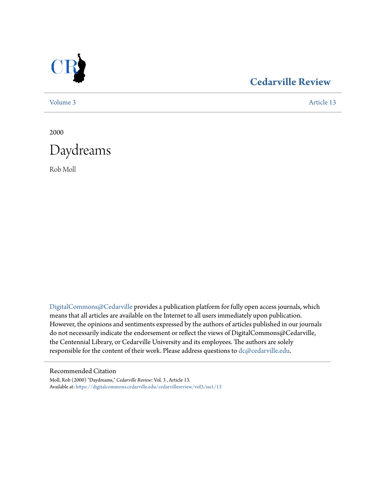

## **[Cedarville Review](https://digitalcommons.cedarville.edu/cedarvillereview?utm_source=digitalcommons.cedarville.edu%2Fcedarvillereview%2Fvol3%2Fiss1%2F13&utm_medium=PDF&utm_campaign=PDFCoverPages)**

[Volume 3](https://digitalcommons.cedarville.edu/cedarvillereview/vol3?utm_source=digitalcommons.cedarville.edu%2Fcedarvillereview%2Fvol3%2Fiss1%2F13&utm_medium=PDF&utm_campaign=PDFCoverPages) [Article 13](https://digitalcommons.cedarville.edu/cedarvillereview/vol3/iss1/13?utm_source=digitalcommons.cedarville.edu%2Fcedarvillereview%2Fvol3%2Fiss1%2F13&utm_medium=PDF&utm_campaign=PDFCoverPages)

2000



Rob Moll

[DigitalCommons@Cedarville](http://digitalcommons.cedarville.edu) provides a publication platform for fully open access journals, which means that all articles are available on the Internet to all users immediately upon publication. However, the opinions and sentiments expressed by the authors of articles published in our journals do not necessarily indicate the endorsement or reflect the views of DigitalCommons@Cedarville, the Centennial Library, or Cedarville University and its employees. The authors are solely responsible for the content of their work. Please address questions to [dc@cedarville.edu](mailto:dc@cedarville.edu).

#### Recommended Citation

Moll, Rob (2000) "Daydreams," *Cedarville Review*: Vol. 3 , Article 13. Available at: [https://digitalcommons.cedarville.edu/cedarvillereview/vol3/iss1/13](https://digitalcommons.cedarville.edu/cedarvillereview/vol3/iss1/13?utm_source=digitalcommons.cedarville.edu%2Fcedarvillereview%2Fvol3%2Fiss1%2F13&utm_medium=PDF&utm_campaign=PDFCoverPages)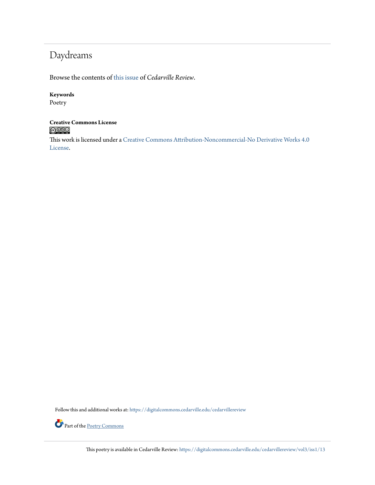# Daydreams

Browse the contents of [this issue](https://digitalcommons.cedarville.edu/cedarvillereview/vol3/iss1) of *Cedarville Review*.

#### **Keywords**

Poetry

#### **Creative Commons License**  $\bigcirc$  000

This work is licensed under a [Creative Commons Attribution-Noncommercial-No Derivative Works 4.0](http://creativecommons.org/licenses/by-nc-nd/4.0/) [License.](http://creativecommons.org/licenses/by-nc-nd/4.0/)

Follow this and additional works at: [https://digitalcommons.cedarville.edu/cedarvillereview](https://digitalcommons.cedarville.edu/cedarvillereview?utm_source=digitalcommons.cedarville.edu%2Fcedarvillereview%2Fvol3%2Fiss1%2F13&utm_medium=PDF&utm_campaign=PDFCoverPages)



This poetry is available in Cedarville Review: [https://digitalcommons.cedarville.edu/cedarvillereview/vol3/iss1/13](https://digitalcommons.cedarville.edu/cedarvillereview/vol3/iss1/13?utm_source=digitalcommons.cedarville.edu%2Fcedarvillereview%2Fvol3%2Fiss1%2F13&utm_medium=PDF&utm_campaign=PDFCoverPages)